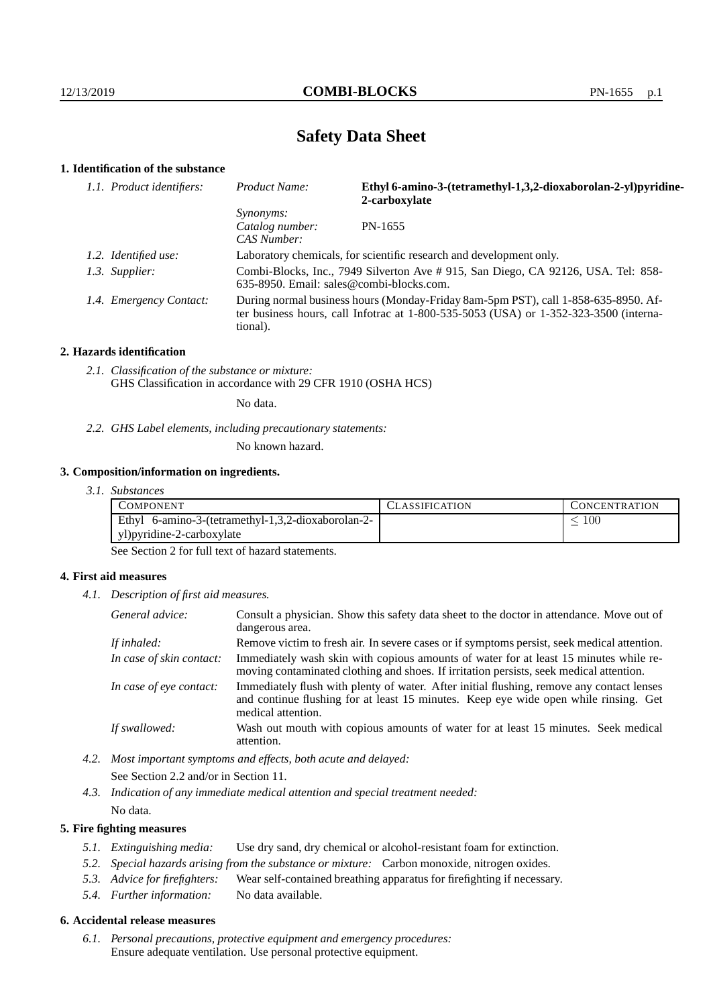# **Safety Data Sheet**

## **1. Identification of the substance**

| Product Name:                                                                                  | Ethyl 6-amino-3-(tetramethyl-1,3,2-dioxaborolan-2-yl)pyridine-<br>2-carboxylate                                                                                             |
|------------------------------------------------------------------------------------------------|-----------------------------------------------------------------------------------------------------------------------------------------------------------------------------|
| <i>Synonyms:</i><br>Catalog number:<br>CAS Number:                                             | PN-1655                                                                                                                                                                     |
|                                                                                                | Laboratory chemicals, for scientific research and development only.                                                                                                         |
| $635-8950$ . Email: sales@combi-blocks.com.                                                    | Combi-Blocks, Inc., 7949 Silverton Ave # 915, San Diego, CA 92126, USA. Tel: 858-                                                                                           |
| tional).                                                                                       | During normal business hours (Monday-Friday 8am-5pm PST), call 1-858-635-8950. Af-<br>ter business hours, call Infotrac at 1-800-535-5053 (USA) or 1-352-323-3500 (interna- |
| 1.1. Product identifiers:<br>1.2. Identified use:<br>1.3. Supplier:<br>1.4. Emergency Contact: |                                                                                                                                                                             |

#### **2. Hazards identification**

*2.1. Classification of the substance or mixture:* GHS Classification in accordance with 29 CFR 1910 (OSHA HCS)

No data.

*2.2. GHS Label elements, including precautionary statements:*

No known hazard.

#### **3. Composition/information on ingredients.**

*3.1. Substances*

| COMPONENT                                          | CLASSIFICATION | CONCENTRATION |
|----------------------------------------------------|----------------|---------------|
| Ethyl 6-amino-3-(tetramethyl-1,3,2-dioxaborolan-2- |                | 100           |
| yl)pyridine-2-carboxylate                          |                |               |

See Section 2 for full text of hazard statements.

#### **4. First aid measures**

*4.1. Description of first aid measures.*

| General advice:          | Consult a physician. Show this safety data sheet to the doctor in attendance. Move out of<br>dangerous area.                                                                                            |
|--------------------------|---------------------------------------------------------------------------------------------------------------------------------------------------------------------------------------------------------|
| If inhaled:              | Remove victim to fresh air. In severe cases or if symptoms persist, seek medical attention.                                                                                                             |
| In case of skin contact: | Immediately wash skin with copious amounts of water for at least 15 minutes while re-<br>moving contaminated clothing and shoes. If irritation persists, seek medical attention.                        |
| In case of eye contact:  | Immediately flush with plenty of water. After initial flushing, remove any contact lenses<br>and continue flushing for at least 15 minutes. Keep eye wide open while rinsing. Get<br>medical attention. |
| If swallowed:            | Wash out mouth with copious amounts of water for at least 15 minutes. Seek medical<br>attention.                                                                                                        |

*4.2. Most important symptoms and effects, both acute and delayed:* See Section 2.2 and/or in Section 11.

*4.3. Indication of any immediate medical attention and special treatment needed:* No data.

#### **5. Fire fighting measures**

- *5.1. Extinguishing media:* Use dry sand, dry chemical or alcohol-resistant foam for extinction.
- *5.2. Special hazards arising from the substance or mixture:* Carbon monoxide, nitrogen oxides.
- *5.3. Advice for firefighters:* Wear self-contained breathing apparatus for firefighting if necessary.
- *5.4. Further information:* No data available.

#### **6. Accidental release measures**

*6.1. Personal precautions, protective equipment and emergency procedures:* Ensure adequate ventilation. Use personal protective equipment.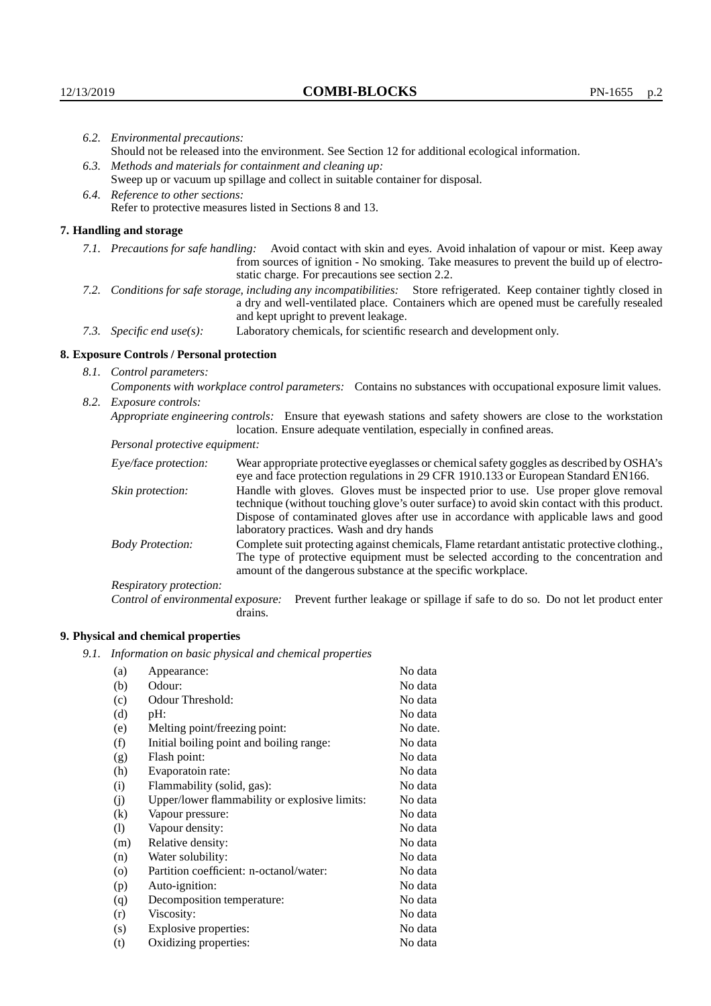| 6.2. Environmental precautions:                                                                                                                                                                                                                            |                                                                                                                                                                                                                                                                            |  |  |
|------------------------------------------------------------------------------------------------------------------------------------------------------------------------------------------------------------------------------------------------------------|----------------------------------------------------------------------------------------------------------------------------------------------------------------------------------------------------------------------------------------------------------------------------|--|--|
| Should not be released into the environment. See Section 12 for additional ecological information.                                                                                                                                                         |                                                                                                                                                                                                                                                                            |  |  |
|                                                                                                                                                                                                                                                            | 6.3. Methods and materials for containment and cleaning up:                                                                                                                                                                                                                |  |  |
|                                                                                                                                                                                                                                                            | Sweep up or vacuum up spillage and collect in suitable container for disposal.                                                                                                                                                                                             |  |  |
| 6.4. Reference to other sections:                                                                                                                                                                                                                          |                                                                                                                                                                                                                                                                            |  |  |
| Refer to protective measures listed in Sections 8 and 13.                                                                                                                                                                                                  |                                                                                                                                                                                                                                                                            |  |  |
| 7. Handling and storage                                                                                                                                                                                                                                    |                                                                                                                                                                                                                                                                            |  |  |
|                                                                                                                                                                                                                                                            | 7.1. Precautions for safe handling: Avoid contact with skin and eyes. Avoid inhalation of vapour or mist. Keep away<br>from sources of ignition - No smoking. Take measures to prevent the build up of electro-<br>static charge. For precautions see section 2.2.         |  |  |
| 7.2. Conditions for safe storage, including any incompatibilities: Store refrigerated. Keep container tightly closed in<br>a dry and well-ventilated place. Containers which are opened must be carefully resealed<br>and kept upright to prevent leakage. |                                                                                                                                                                                                                                                                            |  |  |
| 7.3. Specific end use(s):                                                                                                                                                                                                                                  | Laboratory chemicals, for scientific research and development only.                                                                                                                                                                                                        |  |  |
| 8. Exposure Controls / Personal protection                                                                                                                                                                                                                 |                                                                                                                                                                                                                                                                            |  |  |
| 8.1. Control parameters:                                                                                                                                                                                                                                   |                                                                                                                                                                                                                                                                            |  |  |
|                                                                                                                                                                                                                                                            | Components with workplace control parameters: Contains no substances with occupational exposure limit values.                                                                                                                                                              |  |  |
| 8.2. Exposure controls:                                                                                                                                                                                                                                    |                                                                                                                                                                                                                                                                            |  |  |
|                                                                                                                                                                                                                                                            | Appropriate engineering controls: Ensure that eyewash stations and safety showers are close to the workstation                                                                                                                                                             |  |  |
|                                                                                                                                                                                                                                                            | location. Ensure adequate ventilation, especially in confined areas.                                                                                                                                                                                                       |  |  |
| Personal protective equipment:                                                                                                                                                                                                                             |                                                                                                                                                                                                                                                                            |  |  |
| Eye/face protection:                                                                                                                                                                                                                                       | Wear appropriate protective eyeglasses or chemical safety goggles as described by OSHA's<br>eye and face protection regulations in 29 CFR 1910.133 or European Standard EN166.                                                                                             |  |  |
| Skin protection:                                                                                                                                                                                                                                           | Handle with gloves. Gloves must be inspected prior to use. Use proper glove removal<br>technique (without touching glove's outer surface) to avoid skin contact with this product.<br>Dignage of conteminated glories often use in coordones with applicable laws and good |  |  |

#### **8. Exposure Controls / Personal protection**

| Eye/face protection:               | Wear appropriate protective eyeglasses or chemical safety goggles as described by OSHA's<br>eye and face protection regulations in 29 CFR 1910.133 or European Standard EN166.                                                                                                                                         |                                                                                |  |
|------------------------------------|------------------------------------------------------------------------------------------------------------------------------------------------------------------------------------------------------------------------------------------------------------------------------------------------------------------------|--------------------------------------------------------------------------------|--|
| Skin protection:                   | Handle with gloves. Gloves must be inspected prior to use. Use proper glove removal<br>technique (without touching glove's outer surface) to avoid skin contact with this product.<br>Dispose of contaminated gloves after use in accordance with applicable laws and good<br>laboratory practices. Wash and dry hands |                                                                                |  |
| <b>Body Protection:</b>            | Complete suit protecting against chemicals, Flame retardant antistatic protective clothing.,<br>The type of protective equipment must be selected according to the concentration and<br>amount of the dangerous substance at the specific workplace.                                                                   |                                                                                |  |
| Respiratory protection:            |                                                                                                                                                                                                                                                                                                                        |                                                                                |  |
| Control of environmental exposure: | drains.                                                                                                                                                                                                                                                                                                                | Prevent further leakage or spillage if safe to do so. Do not let product enter |  |

## **9. Physical and chemical properties**

*9.1. Information on basic physical and chemical properties*

| (a)                        | Appearance:                                   | No data  |
|----------------------------|-----------------------------------------------|----------|
| (b)                        | Odour:                                        | No data  |
| (c)                        | Odour Threshold:                              | No data  |
| (d)                        | $pH$ :                                        | No data  |
| (e)                        | Melting point/freezing point:                 | No date. |
| (f)                        | Initial boiling point and boiling range:      | No data  |
| (g)                        | Flash point:                                  | No data  |
| (h)                        | Evaporatoin rate:                             | No data  |
| (i)                        | Flammability (solid, gas):                    | No data  |
| (j)                        | Upper/lower flammability or explosive limits: | No data  |
| (k)                        | Vapour pressure:                              | No data  |
| $\left( \mathrm{l}\right)$ | Vapour density:                               | No data  |
| (m)                        | Relative density:                             | No data  |
| (n)                        | Water solubility:                             | No data  |
| $\rm (o)$                  | Partition coefficient: n-octanol/water:       | No data  |
| (p)                        | Auto-ignition:                                | No data  |
| (q)                        | Decomposition temperature:                    | No data  |
| (r)                        | Viscosity:                                    | No data  |
| (s)                        | Explosive properties:                         | No data  |
| (t)                        | Oxidizing properties:                         | No data  |